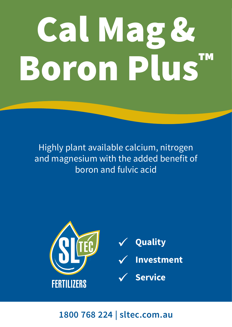# Cal Mag& Boron Plus™

Highly plant available calcium, nitrogen and magnesium with the added benefit of boron and fulvic acid



# **1800 768 224 | sltec.com.au**